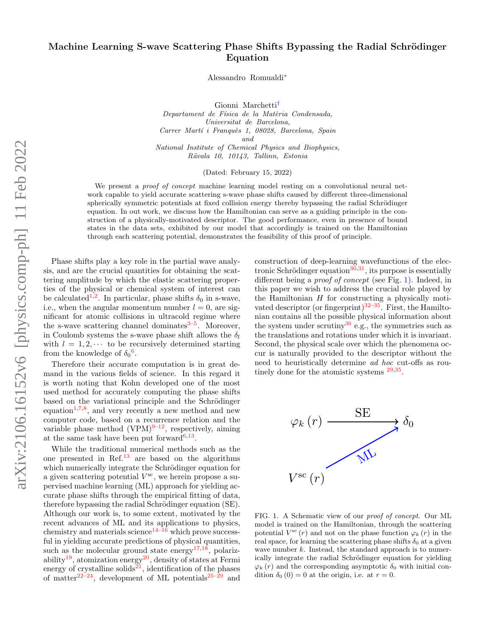# Machine Learning S-wave Scattering Phase Shifts Bypassing the Radial Schrödinger Equation

Alessandro Romualdi[∗](#page-6-0)

Gionni Marchetti[†](#page-6-1)

Departament de Física de la Matèria Condensada, Universitat de Barcelona, Carrer Martí i Franquès 1, 08028, Barcelona, Spain and National Institute of Chemical Physics and Biophysics, Rävala 10, 10143, Tallinn, Estonia

(Dated: February 15, 2022)

We present a *proof of concept* machine learning model resting on a convolutional neural network capable to yield accurate scattering s-wave phase shifts caused by different three-dimensional spherically symmetric potentials at fixed collision energy thereby bypassing the radial Schrödinger equation. In out work, we discuss how the Hamiltonian can serve as a guiding principle in the construction of a physically-motivated descriptor. The good performance, even in presence of bound states in the data sets, exhibited by our model that accordingly is trained on the Hamiltonian through each scattering potential, demonstrates the feasibility of this proof of principle.

Phase shifts play a key role in the partial wave analysis, and are the crucial quantities for obtaining the scattering amplitude by which the elastic scattering properties of the physical or chemical system of interest can be calculated<sup>[1](#page-6-2)[,2](#page-6-3)</sup>. In particular, phase shifts  $\delta_0$  in s-wave, i.e., when the angular momentum number  $l = 0$ , are significant for atomic collisions in ultracold regime where the s-wave scattering channel dominates<sup>[3](#page-6-4)[–5](#page-7-0)</sup>. Moreover, in Coulomb systems the s-wave phase shift allows the  $\delta_l$ with  $l = 1, 2, \cdots$  to be recursively determined starting from the knowledge of  $\delta_0$ <sup>[6](#page-7-1)</sup>.

Therefore their accurate computation is in great demand in the various fields of science. In this regard it is worth noting that Kohn developed one of the most used method for accurately computing the phase shifts based on the variational principle and the Schrödinger equation<sup>[1,](#page-6-2)[7,](#page-7-2)[8](#page-7-3)</sup>, and very recently a new method and new computer code, based on a recurrence relation and the variable phase method  $(VPM)^{9-12}$  $(VPM)^{9-12}$  $(VPM)^{9-12}$ , respectively, aiming at the same task have been put forward<sup>[6,](#page-7-1)[13](#page-7-6)</sup>.

While the traditional numerical methods such as the one presented in Ref.[13](#page-7-6) are based on the algorithms which numerically integrate the Schrödinger equation for a given scattering potential  $V^{\rm sc}$ , we herein propose a supervised machine learning (ML) approach for yielding accurate phase shifts through the empirical fitting of data, therefore bypassing the radial Schrödinger equation (SE). Although our work is, to some extent, motivated by the recent advances of ML and its applications to physics, chemistry and materials science<sup>[14–](#page-7-7)[16](#page-7-8)</sup> which prove successful in yielding accurate predictions of physical quantities, such as the molecular ground state energy<sup>[17,](#page-7-9)[18](#page-7-10)</sup>, polariz-ability<sup>[19](#page-7-11)</sup>, atomization energy<sup>[20](#page-7-12)</sup>, density of states at Fermi energy of crystalline solids<sup>[21](#page-7-13)</sup>, identification of the phases of matter<sup>[22–](#page-7-14)[24](#page-7-15)</sup>, development of ML potentials<sup>[25](#page-7-16)[–29](#page-7-17)</sup> and

construction of deep-learning wavefunctions of the elec-tronic Schrödinger equation<sup>[30,](#page-7-18)[31](#page-7-19)</sup>, its purpose is essentially different being a proof of concept (see Fig. [1\)](#page-0-0). Indeed, in this paper we wish to address the crucial role played by the Hamiltonian  $H$  for constructing a physically moti-vated descriptor (or fingerprint)<sup>[32–](#page-7-20)[35](#page-7-21)</sup>. First, the Hamiltonian contains all the possible physical information about the system under scrutiny<sup>[36](#page-7-22)</sup> e.g., the symmetries such as the translations and rotations under which it is invariant. Second, the physical scale over which the phenomena occur is naturally provided to the descriptor without the need to heuristically determine ad hoc cut-offs as routinely done for the atomistic systems  $29,35$  $29,35$ .



<span id="page-0-0"></span>FIG. 1. A Schematic view of our proof of concept. Our ML model is trained on the Hamiltonian, through the scattering potential  $V^{\rm sc}(r)$  and not on the phase function  $\varphi_k(r)$  in the real space, for learning the scattering phase shifts  $\delta_0$  at a given wave number k. Instead, the standard approach is to numerically integrate the radial Schrödinger equation for yielding  $\varphi_k(r)$  and the corresponding asymptotic  $\delta_0$  with initial condition  $\delta_0$  (0) = 0 at the origin, i.e. at  $r = 0$ .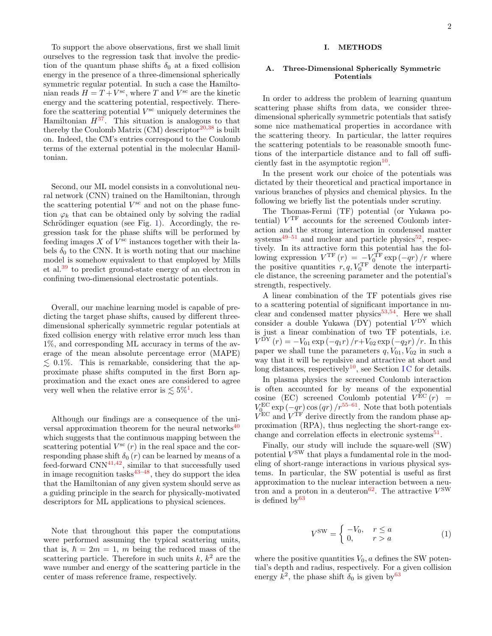To support the above observations, first we shall limit ourselves to the regression task that involve the prediction of the quantum phase shifts  $\delta_0$  at a fixed collision energy in the presence of a three-dimensional spherically symmetric regular potential. In such a case the Hamiltonian reads  $H = T + V<sup>sc</sup>$ , where T and  $V<sup>sc</sup>$  are the kinetic energy and the scattering potential, respectively. Therefore the scattering potential  $V^{\text{sc}}$  uniquely determines the Hamiltonian  $H^{37}$  $H^{37}$  $H^{37}$ . This situation is analogous to that thereby the Coulomb Matrix  $(CM)$  descriptor<sup>[20,](#page-7-12)[38](#page-7-24)</sup> is built on. Indeed, the CM's entries correspond to the Coulomb terms of the external potential in the molecular Hamiltonian.

Second, our ML model consists in a convolutional neural network (CNN) trained on the Hamiltonian, through the scattering potential  $V^{\rm sc}$  and not on the phase function  $\varphi_k$  that can be obtained only by solving the radial Schrödinger equation (see Fig. [1\)](#page-0-0). Accordingly, the regression task for the phase shifts will be performed by feeding images  $X$  of  $V^{\text{sc}}$  instances together with their labels  $\delta_0$  to the CNN. It is worth noting that our machine model is somehow equivalent to that employed by Mills et al.[39](#page-7-25) to predict ground-state energy of an electron in confining two-dimensional electrostatic potentials.

Overall, our machine learning model is capable of predicting the target phase shifts, caused by different threedimensional spherically symmetric regular potentials at fixed collision energy with relative error much less than 1%, and corresponding ML accuracy in terms of the average of the mean absolute percentage error (MAPE)  $\leq 0.1\%$ . This is remarkable, considering that the approximate phase shifts computed in the first Born approximation and the exact ones are considered to agree very well when the relative error is  $\lesssim 5\%$ <sup>[1](#page-6-2)</sup>.

Although our findings are a consequence of the universal approximation theorem for the neural networks $40$ which suggests that the continuous mapping between the scattering potential  $V^{sc}(r)$  in the real space and the corresponding phase shift  $\delta_0(r)$  can be learned by means of a feed-forward  $CNN<sup>41,42</sup>$  $CNN<sup>41,42</sup>$  $CNN<sup>41,42</sup>$  $CNN<sup>41,42</sup>$ , similar to that successfully used in image recognition tasks $43-48$  $43-48$ , they do support the idea that the Hamiltonian of any given system should serve as a guiding principle in the search for physically-motivated descriptors for ML applications to physical sciences.

Note that throughout this paper the computations were performed assuming the typical scattering units, that is,  $\hbar = 2m = 1$ , m being the reduced mass of the scattering particle. Therefore in such units  $k, k<sup>2</sup>$  are the wave number and energy of the scattering particle in the center of mass reference frame, respectively.

# I. METHODS

#### A. Three-Dimensional Spherically Symmetric Potentials

In order to address the problem of learning quantum scattering phase shifts from data, we consider threedimensional spherically symmetric potentials that satisfy some nice mathematical properties in accordance with the scattering theory. In particular, the latter requires the scattering potentials to be reasonable smooth functions of the interparticle distance and to fall off sufficiently fast in the asymptotic region $10$ .

In the present work our choice of the potentials was dictated by their theoretical and practical importance in various branches of physics and chemical physics. In the following we briefly list the potentials under scrutiny.

The Thomas-Fermi (TF) potential (or Yukawa potential) V TF accounts for the screened Coulomb interaction and the strong interaction in condensed matter systems<sup>[49–](#page-7-32)[51](#page-7-33)</sup> and nuclear and particle physics<sup>[52](#page-7-34)</sup>, respectively. In its attractive form this potential has the following expression  $V^{\text{TF}}(r) = -V_0^{\text{TF}} \exp(-qr)/r$  where the positive quantities  $r, q, V_0^{\text{TF}}$  denote the interparticle distance, the screening parameter and the potential's strength, respectively.

A linear combination of the TF potentials gives rise to a scattering potential of significant importance in nu-clear and condensed matter physics<sup>[53](#page-7-35)[,54](#page-7-36)</sup>. Here we shall consider a double Yukawa (DY) potential  $V^{\rm DY}$  which is just a linear combination of two TF potentials, i.e.  $V^{\rm DY} (r) = -V_{01} \exp(-q_1 r)/r + V_{02} \exp(-q_2 r)/r$ . In this paper we shall tune the parameters  $q, V_{01}, V_{02}$  in such a way that it will be repulsive and attractive at short and long distances, respectively<sup>[10](#page-7-31)</sup>, see Section IC for details.

In plasma physics the screened Coulomb interaction is often accounted for by means of the exponential cosine (EC) screened Coulomb potential  $V^{EC}(r)$  =  $V_{\rm C}^{\rm EC}$  exp  $(-qr)$  cos  $(qr)/r^{55-61}$  $(qr)/r^{55-61}$  $(qr)/r^{55-61}$ . Note that both potentials  $V_{0}^{\text{EC}}$  and  $V^{\text{TF}}$  derive directly from the random phase approximation (RPA), thus neglecting the short-range ex-change and correlation effects in electronic systems<sup>[51](#page-7-33)</sup>.

Finally, our study will include the square-well (SW) potential  $V^{\text{SW}}$  that plays a fundamental role in the modeling of short-range interactions in various physical systems. In particular, the SW potential is useful as first approximation to the nuclear interaction between a neu-tron and a proton in a deuteron<sup>[62](#page-7-39)</sup>. The attractive  $V^{\text{SW}}$ is defined  $bv^{63}$  $bv^{63}$  $bv^{63}$ 

$$
V^{\text{SW}} = \begin{cases} -V_0, & r \le a \\ 0, & r > a \end{cases}
$$
 (1)

where the positive quantities  $V_0$ , a defines the SW potential's depth and radius, respectively. For a given collision energy  $k^2$ , the phase shift  $\delta_0$  is given by  $63$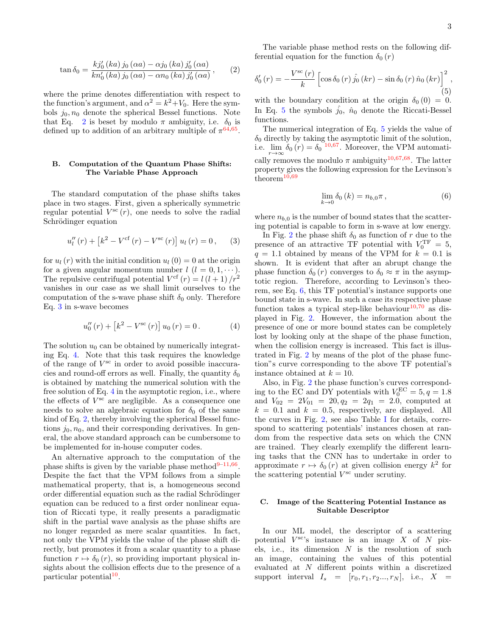<span id="page-2-1"></span>
$$
\tan \delta_0 = \frac{k j_0'(ka) j_0(\alpha a) - \alpha j_0(ka) j_0'(\alpha a)}{k n_0'(ka) j_0(\alpha a) - \alpha n_0(ka) j_0'(\alpha a)},
$$
 (2)

where the prime denotes differentiation with respect to the function's argument, and  $\alpha^2 = k^2 + V_0$ . Here the symbols  $j_0, n_0$  denote the spherical Bessel functions. Note that Eq. [2](#page-2-1) is beset by modulo  $\pi$  ambiguity, i.e.  $\delta_0$  is defined up to addition of an arbitrary multiple of  $\pi^{64,65}$  $\pi^{64,65}$  $\pi^{64,65}$  $\pi^{64,65}$ .

## <span id="page-2-6"></span>B. Computation of the Quantum Phase Shifts: The Variable Phase Approach

The standard computation of the phase shifts takes place in two stages. First, given a spherically symmetric regular potential  $V^{sc}(r)$ , one needs to solve the radial Schrödinger equation

<span id="page-2-2"></span>
$$
u''_l(r) + [k^2 - V^{\text{cf}}(r) - V^{\text{sc}}(r)] u_l(r) = 0, \qquad (3)
$$

for  $u_l(r)$  with the initial condition  $u_l(0) = 0$  at the origin for a given angular momentum number  $l$   $(l = 0, 1, \dots)$ . The repulsive centrifugal potential  $V^{\text{cf}}(r) = l(l+1)/r^2$ vanishes in our case as we shall limit ourselves to the computation of the s-wave phase shift  $\delta_0$  only. Therefore Eq. [3](#page-2-2) in s-wave becomes

<span id="page-2-3"></span>
$$
u_0''(r) + [k^2 - V^{sc}(r)] u_0(r) = 0.
$$
 (4)

The solution  $u_0$  can be obtained by numerically integrating Eq. [4.](#page-2-3) Note that this task requires the knowledge of the range of V sc in order to avoid possible inaccuracies and round-off errors as well. Finally, the quantity  $\delta_0$ is obtained by matching the numerical solution with the free solution of Eq. [4](#page-2-3) in the asymptotic region, i.e., where the effects of  $V^{sc}$  are negligible. As a consequence one needs to solve an algebraic equation for  $\delta_0$  of the same kind of Eq. [2,](#page-2-1) thereby involving the spherical Bessel functions  $j_0, n_0$ , and their corresponding derivatives. In general, the above standard approach can be cumbersome to be implemented for in-house computer codes.

An alternative approach to the computation of the phase shifts is given by the variable phase method $9-11,66$  $9-11,66$  $9-11,66$ . Despite the fact that the VPM follows from a simple mathematical property, that is, a homogeneous second order differential equation such as the radial Schrödinger equation can be reduced to a first order nonlinear equation of Riccati type, it really presents a paradigmatic shift in the partial wave analysis as the phase shifts are no longer regarded as mere scalar quantities. In fact, not only the VPM yields the value of the phase shift directly, but promotes it from a scalar quantity to a phase function  $r \mapsto \delta_0(r)$ , so providing important physical insights about the collision effects due to the presence of a particular potential<sup>[10](#page-7-31)</sup>.

The variable phase method rests on the following differential equation for the function  $\delta_0(r)$ 

<span id="page-2-4"></span>
$$
\delta_0'(r) = -\frac{V^{\rm sc}(r)}{k} \left[ \cos \delta_0(r) \hat{j}_0(kr) - \sin \delta_0(r) \hat{n}_0(kr) \right]^2, \tag{5}
$$

with the boundary condition at the origin  $\delta_0 (0) = 0$ . In Eq. [5](#page-2-4) the symbols  $\hat{j}_0$ ,  $\hat{n}_0$  denote the Riccati-Bessel functions.

The numerical integration of Eq. [5](#page-2-4) yields the value of  $\delta_0$  directly by taking the asymptotic limit of the solution, i.e.  $\lim_{r \to \infty} \delta_0(r) = \delta_0^{-10,67}$  $\lim_{r \to \infty} \delta_0(r) = \delta_0^{-10,67}$  $\lim_{r \to \infty} \delta_0(r) = \delta_0^{-10,67}$  $\lim_{r \to \infty} \delta_0(r) = \delta_0^{-10,67}$ . Moreover, the VPM automatically removes the modulo  $\pi$  ambiguity<sup>[10](#page-7-31)[,67](#page-8-0)[,68](#page-8-1)</sup>. The latter property gives the following expression for the Levinson's theorem<sup>[10](#page-7-31)[,69](#page-8-2)</sup>

<span id="page-2-5"></span>
$$
\lim_{k \to 0} \delta_0(k) = n_{b,0}\pi ,\qquad (6)
$$

where  $n_{b,0}$  is the number of bound states that the scattering potential is capable to form in s-wave at low energy.

In Fig. [2](#page-3-0) the phase shift  $\delta_0$  as function of r due to the presence of an attractive TF potential with  $V_0^{\text{TF}} = 5$ ,  $q = 1.1$  obtained by means of the VPM for  $k = 0.1$  is shown. It is evident that after an abrupt change the phase function  $\delta_0(r)$  converges to  $\delta_0 \approx \pi$  in the asymptotic region. Therefore, according to Levinson's theorem, see Eq. [6,](#page-2-5) this TF potential's instance supports one bound state in s-wave. In such a case its respective phase function takes a typical step-like behaviour $10,70$  $10,70$  as displayed in Fig. [2.](#page-3-0) However, the information about the presence of one or more bound states can be completely lost by looking only at the shape of the phase function, when the collision energy is increased. This fact is illustrated in Fig. [2](#page-3-0) by means of the plot of the phase function"s curve corresponding to the above TF potential's instance obtained at  $k = 10$ .

Also, in Fig. [2](#page-3-0) the phase function's curves corresponding to the EC and DY potentials with  $V_0^{\text{EC}} = 5, q = 1.8$ and  $V_{02} = 2V_{01} = 20, q_2 = 2q_1 = 2.0$ , computed at  $k = 0.1$  and  $k = 0.5$ , respectively, are displayed. All the curves in Fig. [2,](#page-3-0) see also Table [I](#page-3-1) for details, correspond to scattering potentials' instances chosen at random from the respective data sets on which the CNN are trained. They clearly exemplify the different learning tasks that the CNN has to undertake in order to approximate  $r \mapsto \delta_0(r)$  at given collision energy  $k^2$  for the scattering potential  $V^{\text{sc}}$  under scrutiny.

#### <span id="page-2-0"></span>C. Image of the Scattering Potential Instance as Suitable Descriptor

In our ML model, the descriptor of a scattering potential  $V^{\text{sc}}$ 's instance is an image X of N pixels, i.e., its dimension  $N$  is the resolution of such an image, containing the values of this potential evaluated at N different points within a discretized support interval  $I_s = [r_0, r_1, r_2..., r_N],$  i.e.,  $X =$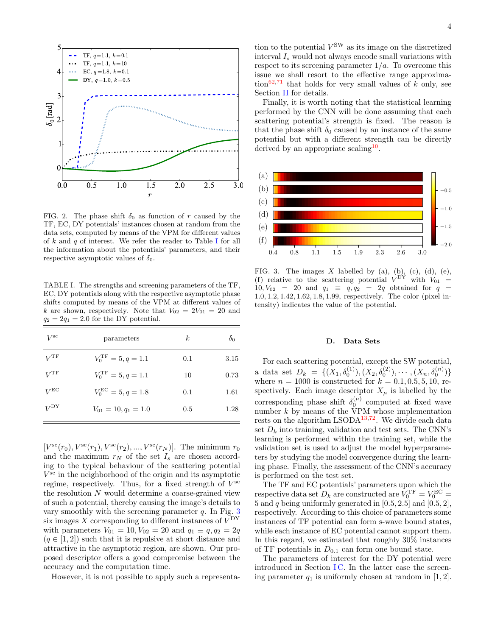

<span id="page-3-0"></span>FIG. 2. The phase shift  $\delta_0$  as function of r caused by the TF, EC, DY potentials' instances chosen at random from the data sets, computed by means of the VPM for different values of k and q of interest. We refer the reader to Table [I](#page-3-1) for all the information about the potentials' parameters, and their respective asymptotic values of  $\delta_0$ .

<span id="page-3-1"></span>TABLE I. The strengths and screening parameters of the TF, EC, DY potentials along with the respective asymptotic phase shifts computed by means of the VPM at different values of k are shown, respectively. Note that  $V_{02} = 2V_{01} = 20$  and  $q_2 = 2q_1 = 2.0$  for the DY potential.

| $V^{\rm sc}$  | parameters                     | k   | $\delta_0$ |
|---------------|--------------------------------|-----|------------|
| $V ^{\rm TF}$ | $V_0^{\text{TF}} = 5, q = 1.1$ | 0.1 | 3.15       |
| $V ^{\rm TF}$ | $V_0^{\text{TF}} = 5, q = 1.1$ | 10  | 0.73       |
| $V^{\rm EC}$  | $V_0^{\text{EC}} = 5, q = 1.8$ | 0.1 | 1.61       |
| $V^{\rm DY}$  | $V_{01} = 10, q_1 = 1.0$       | 0.5 | 1.28       |

 $[V^{sc}(r_0), V^{sc}(r_1), V^{sc}(r_2), ..., V^{sc}(r_N)]$ . The minimum  $r_0$ and the maximum  $r_N$  of the set  $I_s$  are chosen according to the typical behaviour of the scattering potential V sc in the neighborhood of the origin and its asymptotic regime, respectively. Thus, for a fixed strength of  $V^{\text{sc}}$ the resolution N would determine a coarse-grained view of such a potential, thereby causing the image's details to vary smoothly with the screening parameter  $q$ . In Fig.  $3$ six images X corresponding to different instances of  $V^{\rm DY}$ with parameters  $V_{01} = 10, V_{02} = 20$  and  $q_1 \equiv q, q_2 = 2q$  $(q \in [1, 2])$  such that it is repulsive at short distance and attractive in the asymptotic region, are shown. Our proposed descriptor offers a good compromise between the accuracy and the computation time.

However, it is not possible to apply such a representa-

tion to the potential  $V^{\text{SW}}$  as its image on the discretized interval  $I_s$  would not always encode small variations with respect to its screening parameter  $1/a$ . To overcome this issue we shall resort to the effective range approxima-tion<sup>[62](#page-7-39)[,71](#page-8-4)</sup> that holds for very small values of  $k$  only, see Section [II](#page-4-0) for details.

Finally, it is worth noting that the statistical learning performed by the CNN will be done assuming that each scattering potential's strength is fixed. The reason is that the phase shift  $\delta_0$  caused by an instance of the same potential but with a different strength can be directly derived by an appropriate scaling<sup>[10](#page-7-31)</sup>.



<span id="page-3-2"></span>FIG. 3. The images X labelled by (a), (b), (c), (d), (e), (f) relative to the scattering potential  $V^{\rm DY}$  with  $V_{01}$  =  $10, V_{02} = 20$  and  $q_1 \equiv q, q_2 = 2q$  obtained for  $q =$ 1.0, 1.2, 1.42, 1.62, 1.8, 1.99, respectively. The color (pixel intensity) indicates the value of the potential.

#### D. Data Sets

For each scattering potential, except the SW potential, a data set  $D_k = \{ (X_1, \delta_0^{(1)}), (X_2, \delta_0^{(2)}), \cdots, (X_n, \delta_0^{(n)}) \}$ where  $n = 1000$  is constructed for  $k = 0.1, 0.5, 5, 10,$  respectively. Each image descriptor  $X_{\mu}$  is labelled by the corresponding phase shift  $\delta_0^{(\mu)}$  computed at fixed wave number  $k$  by means of the VPM whose implementation rests on the algorithm  $LSODA<sup>13,72</sup>$  $LSODA<sup>13,72</sup>$  $LSODA<sup>13,72</sup>$  $LSODA<sup>13,72</sup>$ . We divide each data set  $D_k$  into training, validation and test sets. The CNN's learning is performed within the training set, while the validation set is used to adjust the model hyperparameters by studying the model convergence during the learning phase. Finally, the assessment of the CNN's accuracy is performed on the test set.

The TF and EC potentials' parameters upon which the respective data set  $D_k$  are constructed are  $V_0^{\text{TF}} = V_0^{\text{EC}} =$ 5 and  $q$  being uniformly generated in  $[0.5, 2.5]$  and  $[0.5, 2]$ , respectively. According to this choice of parameters some instances of TF potential can form s-wave bound states, while each instance of EC potential cannot support them. In this regard, we estimated that roughly 30% instances of TF potentials in  $D_{0,1}$  can form one bound state.

The parameters of interest for the DY potential were introduced in Section  $IC$ . In the latter case the screening parameter  $q_1$  is uniformly chosen at random in [1, 2].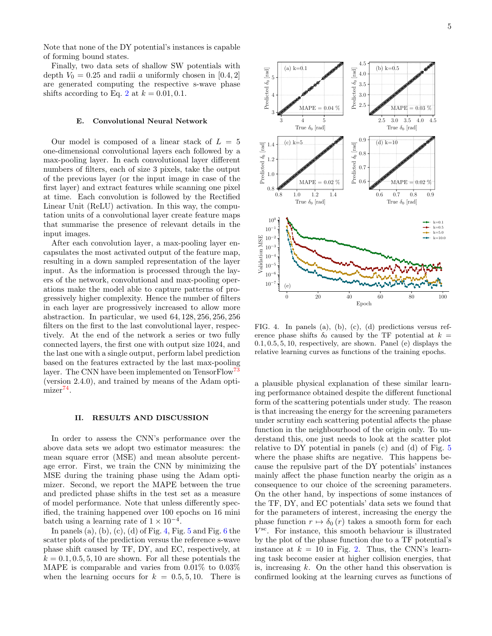Note that none of the DY potential's instances is capable of forming bound states.

Finally, two data sets of shallow SW potentials with depth  $V_0 = 0.25$  and radii a uniformly chosen in [0.4, 2] are generated computing the respective s-wave phase shifts according to Eq. [2](#page-2-1) at  $k = 0.01, 0.1$ .

#### E. Convolutional Neural Network

Our model is composed of a linear stack of  $L = 5$ one-dimensional convolutional layers each followed by a max-pooling layer. In each convolutional layer different numbers of filters, each of size 3 pixels, take the output of the previous layer (or the input image in case of the first layer) and extract features while scanning one pixel at time. Each convolution is followed by the Rectified Linear Unit (ReLU) activation. In this way, the computation units of a convolutional layer create feature maps that summarise the presence of relevant details in the input images.

After each convolution layer, a max-pooling layer encapsulates the most activated output of the feature map, resulting in a down sampled representation of the layer input. As the information is processed through the layers of the network, convolutional and max-pooling operations make the model able to capture patterns of progressively higher complexity. Hence the number of filters in each layer are progressively increased to allow more abstraction. In particular, we used 64, 128, 256, 256, 256 filters on the first to the last convolutional layer, respectively. At the end of the network a series or two fully connected layers, the first one with output size 1024, and the last one with a single output, perform label prediction based on the features extracted by the last max-pooling layer. The CNN have been implemented on TensorFlow<sup>[73](#page-8-6)</sup> (version 2.4.0), and trained by means of the Adam opti-mizer<sup>[74](#page-8-7)</sup>.

#### <span id="page-4-0"></span>II. RESULTS AND DISCUSSION

In order to assess the CNN's performance over the above data sets we adopt two estimator measures: the mean square error (MSE) and mean absolute percentage error. First, we train the CNN by minimizing the MSE during the training phase using the Adam optimizer. Second, we report the MAPE between the true and predicted phase shifts in the test set as a measure of model performance. Note that unless differently specified, the training happened over 100 epochs on 16 mini batch using a learning rate of  $1 \times 10^{-4}$ .

In panels (a), (b), (c), (d) of Fig. [4,](#page-4-1) Fig.  $5$  and Fig.  $6$  the scatter plots of the prediction versus the reference s-wave phase shift caused by TF, DY, and EC, respectively, at  $k = 0.1, 0.5, 5, 10$  are shown. For all these potentials the MAPE is comparable and varies from 0.01% to 0.03% when the learning occurs for  $k = 0.5, 5, 10$ . There is



<span id="page-4-1"></span>FIG. 4. In panels (a), (b), (c), (d) predictions versus reference phase shifts  $\delta_0$  caused by the TF potential at  $k =$ 0.1, 0.5, 5, 10, respectively, are shown. Panel (e) displays the relative learning curves as functions of the training epochs.

a plausible physical explanation of these similar learning performance obtained despite the different functional form of the scattering potentials under study. The reason is that increasing the energy for the screening parameters under scrutiny each scattering potential affects the phase function in the neighbourhood of the origin only. To understand this, one just needs to look at the scatter plot relative to DY potential in panels (c) and (d) of Fig. [5](#page-5-0) where the phase shifts are negative. This happens because the repulsive part of the DY potentials' instances mainly affect the phase function nearby the origin as a consequence to our choice of the screening parameters. On the other hand, by inspections of some instances of the TF, DY, and EC potentials' data sets we found that for the parameters of interest, increasing the energy the phase function  $r \mapsto \delta_0(r)$  takes a smooth form for each V sc. For instance, this smooth behaviour is illustrated by the plot of the phase function due to a TF potential's instance at  $k = 10$  in Fig. [2.](#page-3-0) Thus, the CNN's learning task become easier at higher collision energies, that is, increasing  $k$ . On the other hand this observation is confirmed looking at the learning curves as functions of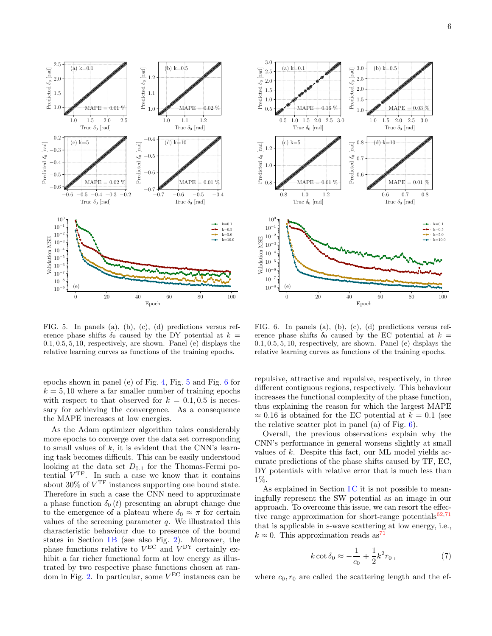

<span id="page-5-0"></span>FIG. 5. In panels (a), (b), (c), (d) predictions versus reference phase shifts  $\delta_0$  caused by the DY potential at  $k =$ 0.1, 0.5, 5, 10, respectively, are shown. Panel (e) displays the relative learning curves as functions of the training epochs.

epochs shown in panel (e) of Fig. [4,](#page-4-1) Fig. [5](#page-5-0) and Fig. [6](#page-5-1) for  $k = 5, 10$  where a far smaller number of training epochs with respect to that observed for  $k = 0.1, 0.5$  is necessary for achieving the convergence. As a consequence the MAPE increases at low energies.

As the Adam optimizer algorithm takes considerably more epochs to converge over the data set corresponding to small values of  $k$ , it is evident that the CNN's learning task becomes difficult. This can be easily understood looking at the data set  $D_{0.1}$  for the Thomas-Fermi potential  $V<sup>TF</sup>$ . In such a case we know that it contains about 30% of  $V<sup>TF</sup>$  instances supporting one bound state. Therefore in such a case the CNN need to approximate a phase function  $\delta_0(t)$  presenting an abrupt change due to the emergence of a plateau where  $\delta_0 \approx \pi$  for certain values of the screening parameter  $q$ . We illustrated this characteristic behaviour due to presence of the bound states in Section IB (see also Fig. [2\)](#page-3-0). Moreover, the phase functions relative to  $V^{\text{EC}}$  and  $V^{\text{DY}}$  certainly exhibit a far richer functional form at low energy as illustrated by two respective phase functions chosen at ran-dom in Fig. [2.](#page-3-0) In particular, some  $V<sup>EC</sup>$  instances can be



<span id="page-5-1"></span>FIG. 6. In panels (a), (b), (c), (d) predictions versus reference phase shifts  $\delta_0$  caused by the EC potential at  $k =$ 0.1, 0.5, 5, 10, respectively, are shown. Panel (e) displays the relative learning curves as functions of the training epochs.

repulsive, attractive and repulsive, respectively, in three different contiguous regions, respectively. This behaviour increases the functional complexity of the phase function, thus explaining the reason for which the largest MAPE  $\approx 0.16$  is obtained for the EC potential at  $k = 0.1$  (see the relative scatter plot in panel (a) of Fig.  $6$ ).

Overall, the previous observations explain why the CNN's performance in general worsens slightly at small values of k. Despite this fact, our ML model yields accurate predictions of the phase shifts caused by TF, EC, DY potentials with relative error that is much less than 1%.

As explained in Section  $IC$  it is not possible to meaningfully represent the SW potential as an image in our approach. To overcome this issue, we can resort the effective range approximation for short-range potentials $62,71$  $62,71$ that is applicable in s-wave scattering at low energy, i.e.,  $k \approx 0$ . This approximation reads as<sup>[71](#page-8-4)</sup>

<span id="page-5-2"></span>
$$
k \cot \delta_0 \approx -\frac{1}{c_0} + \frac{1}{2} k^2 r_0 , \qquad (7)
$$

where  $c_0, r_0$  are called the scattering length and the ef-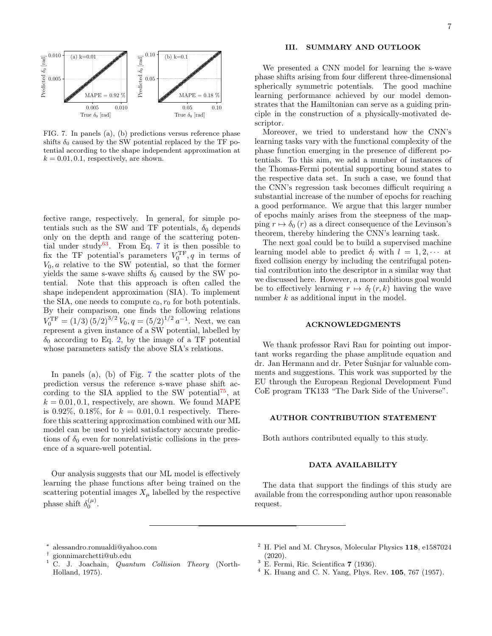

<span id="page-6-5"></span>FIG. 7. In panels (a), (b) predictions versus reference phase shifts  $\delta_0$  caused by the SW potential replaced by the TF potential according to the shape independent approximation at  $k = 0.01, 0.1$ , respectively, are shown.

fective range, respectively. In general, for simple potentials such as the SW and TF potentials,  $\delta_0$  depends only on the depth and range of the scattering poten-tial under study<sup>[63](#page-7-40)</sup>. From Eq. [7](#page-5-2) it is then possible to fix the TF potential's parameters  $V_0^{\text{TF}}, q$  in terms of  $V_0$ , a relative to the SW potential, so that the former yields the same s-wave shifts  $\delta_0$  caused by the SW potential. Note that this approach is often called the shape independent approximation (SIA). To implement the SIA, one needs to compute  $c_0, r_0$  for both potentials. By their comparison, one finds the following relations  $V_0^{\text{TF}} = (1/3) (5/2)^{3/2} V_0, q = (5/2)^{1/2} a^{-1}.$  Next, we can represent a given instance of a SW potential, labelled by  $\delta_0$  according to Eq. [2,](#page-2-1) by the image of a TF potential whose parameters satisfy the above SIA's relations.

In panels (a), (b) of Fig. [7](#page-6-5) the scatter plots of the prediction versus the reference s-wave phase shift ac-cording to the SIA applied to the SW potential<sup>[75](#page-8-8)</sup>, at  $k = 0.01, 0.1$ , respectively, are shown. We found MAPE is 0.92%, 0.18%, for  $k = 0.01, 0.1$  respectively. Therefore this scattering approximation combined with our ML model can be used to yield satisfactory accurate predictions of  $\delta_0$  even for nonrelativistic collisions in the presence of a square-well potential.

Our analysis suggests that our ML model is effectively learning the phase functions after being trained on the scattering potential images  $X_\mu$  labelled by the respective phase shift  $\delta_0^{(\mu)}$ .

## III. SUMMARY AND OUTLOOK

We presented a CNN model for learning the s-wave phase shifts arising from four different three-dimensional spherically symmetric potentials. The good machine learning performance achieved by our model demonstrates that the Hamiltonian can serve as a guiding principle in the construction of a physically-motivated descriptor.

Moreover, we tried to understand how the CNN's learning tasks vary with the functional complexity of the phase function emerging in the presence of different potentials. To this aim, we add a number of instances of the Thomas-Fermi potential supporting bound states to the respective data set. In such a case, we found that the CNN's regression task becomes difficult requiring a substantial increase of the number of epochs for reaching a good performance. We argue that this larger number of epochs mainly arises from the steepness of the mapping  $r \mapsto \delta_0(r)$  as a direct consequence of the Levinson's theorem, thereby hindering the CNN's learning task.

The next goal could be to build a supervised machine learning model able to predict  $\delta_l$  with  $l = 1, 2, \cdots$  at fixed collision energy by including the centrifugal potential contribution into the descriptor in a similar way that we discussed here. However, a more ambitious goal would be to effectively learning  $r \mapsto \delta_l(r, k)$  having the wave number k as additional input in the model.

## ACKNOWLEDGMENTS

We thank professor Ravi Rau for pointing out important works regarding the phase amplitude equation and dr. Jan Hermann and dr. Peter Šušnjar for valuable comments and suggestions. This work was supported by the EU through the European Regional Development Fund CoE program TK133 "The Dark Side of the Universe".

#### AUTHOR CONTRIBUTION STATEMENT

Both authors contributed equally to this study.

### DATA AVAILABILITY

The data that support the findings of this study are available from the corresponding author upon reasonable request.

- <span id="page-6-3"></span> $^2$  H. Piel and M. Chrysos, Molecular Physics 118, e1587024 (2020).
- <span id="page-6-4"></span> $3$  E. Fermi, Ric. Scientifica 7 (1936).
- $4\,$  K. Huang and C. N. Yang, Phys. Rev. 105, 767 (1957).

<span id="page-6-0"></span><sup>∗</sup> [alessandro.romualdi@yahoo.com](mailto:alessandro.romualdi@yahoo.com)

<span id="page-6-1"></span><sup>†</sup> [gionnimarchetti@ub.edu](mailto:gionnimarchetti@ub.edu)

<span id="page-6-2"></span> $1 \text{ C. J. Joachain}$ , Quantum Collision Theory (North-Holland, 1975).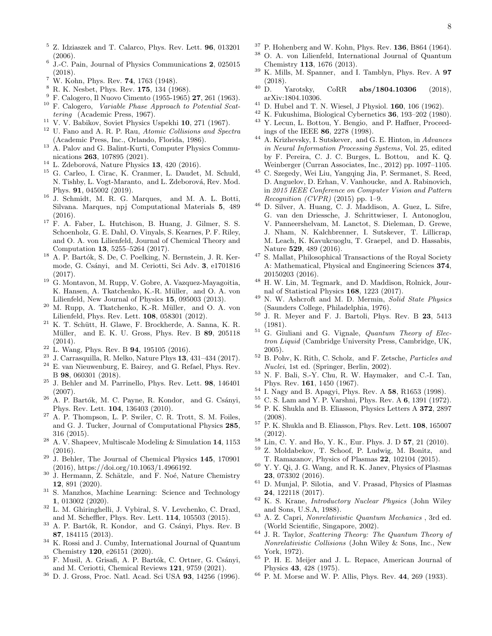- <span id="page-7-0"></span> $5$  Z. Idziaszek and T. Calarco, Phys. Rev. Lett.  $96$ , 013201 (2006).
- <span id="page-7-1"></span>6 J.-C. Pain, Journal of Physics Communications 2, 025015 (2018).
- <span id="page-7-2"></span><sup>7</sup> W. Kohn, Phys. Rev. **74**, 1763 (1948).
- <span id="page-7-3"></span><sup>8</sup> R. K. Nesbet, Phys. Rev. **175**, 134 (1968).
- <span id="page-7-4"></span><sup>9</sup> F. Calogero, Il Nuovo Cimento (1955-1965) 27, 261 (1963).
- <span id="page-7-31"></span><sup>10</sup> F. Calogero, Variable Phase Approach to Potential Scattering (Academic Press, 1967).
- <span id="page-7-43"></span> $^{11}$  V. V. Babikov, Soviet Physics Uspekhi 10, 271 (1967).
- <span id="page-7-5"></span><sup>12</sup> U. Fano and A. R. P. Rau, Atomic Collisions and Spectra (Academic Press, Inc., Orlando, Florida, 1986).
- <span id="page-7-6"></span><sup>13</sup> A. Palov and G. Balint-Kurti, [Computer Physics Commu](http://dx.doi.org/https://doi.org/10.1016/j.cpc.2021.107895)nications 263[, 107895 \(2021\).](http://dx.doi.org/https://doi.org/10.1016/j.cpc.2021.107895)
- <span id="page-7-7"></span> $^{14}$  L. Zdeborová, Nature Physics 13, 420 (2016).
- <sup>15</sup> G. Carleo, I. Cirac, K. Cranmer, L. Daudet, M. Schuld, N. Tishby, L. Vogt-Maranto, and L. Zdeborová, Rev. Mod. Phys. 91, 045002 (2019).
- <span id="page-7-8"></span><sup>16</sup> J. Schmidt, M. R. G. Marques, and M. A. L. Botti, Silvana. Marques, npj Computational Materials 5, 489 (2016).
- <span id="page-7-9"></span><sup>17</sup> F. A. Faber, L. Hutchison, B. Huang, J. Gilmer, S. S. Schoenholz, G. E. Dahl, O. Vinyals, S. Kearnes, P. F. Riley, and O. A. von Lilienfeld, Journal of Chemical Theory and Computation 13, 5255–5264 (2017).
- <span id="page-7-10"></span> $18$  A. P. Bartók, S. De, C. Poelking, N. Bernstein, J. R. Kermode, G. Csányi, and M. Ceriotti, Sci Adv. 3, e1701816 (2017).
- <span id="page-7-11"></span><sup>19</sup> G. Montavon, M. Rupp, V. Gobre, A. Vazquez-Mayagoitia, K. Hansen, A. Tkatchenko, K.-R. Müller, and O. A. von Lilienfeld, New Journal of Physics 15, 095003 (2013).
- <span id="page-7-12"></span> $20$  M. Rupp, A. Tkatchenko, K.-R. Müller, and O. A. von Lilienfeld, Phys. Rev. Lett. 108, 058301 (2012).
- <span id="page-7-13"></span> $^{21}$  K. T. Schütt, H. Glawe, F. Brockherde, A. Sanna, K. R. Müller, and E. K. U. Gross, Phys. Rev. B 89, 205118 (2014).
- <span id="page-7-14"></span> $22$  L. Wang, Phys. Rev. B 94, 195105 (2016).
- <sup>23</sup> J. Carrasquilla, R. Melko, Nature Phys **13**, 431–434 (2017).
- <span id="page-7-15"></span>E. van Nieuwenburg, E. Bairey, and G. Refael, Phys. Rev. B 98, 060301 (2018).
- <span id="page-7-16"></span> $^{25}$  J. Behler and M. Parrinello, Phys. Rev. Lett.  ${\bf 98},\ 146401$ (2007).
- <sup>26</sup> A. P. Bartók, M. C. Payne, R. Kondor, and G. Csányi, Phys. Rev. Lett. 104, 136403 (2010).
- A. P. Thompson, L. P. Swiler, C. R. Trott, S. M. Foiles, and G. J. Tucker, Journal of Computational Physics 285, 316 (2015).
- <sup>28</sup> A. V. Shapeev, Multiscale Modeling & Simulation 14, 1153 (2016).
- <span id="page-7-17"></span> $29\,$  J. Behler, [The Journal of Chemical Physics](http://dx.doi.org/10.1063/1.4966192) 145, 170901 [\(2016\),](http://dx.doi.org/10.1063/1.4966192) [https://doi.org/10.1063/1.4966192.](http://arxiv.org/abs/https://doi.org/10.1063/1.4966192)
- <span id="page-7-18"></span> $30$  J. Hermann, Z. Schätzle, and F. Noé, Nature Chemistry 12, 891 (2020).
- <span id="page-7-19"></span><sup>31</sup> S. Manzhos, Machine Learning: Science and Technology 1, 013002 (2020).
- <span id="page-7-20"></span><sup>32</sup> L. M. Ghiringhelli, J. Vybiral, S. V. Levchenko, C. Draxl, and M. Scheffler, Phys. Rev. Lett. 114, 105503 (2015).
- <sup>33</sup> A. P. Bartók, R. Kondor, and G. Csányi, Phys. Rev. B 87, 184115 (2013).
- <sup>34</sup> K. Rossi and J. Cumby, International Journal of Quantum Chemistry 120, e26151 (2020).
- <span id="page-7-21"></span>F. Musil, A. Grisafi, A. P. Bartók, C. Ortner, G. Csányi, and M. Ceriotti, Chemical Reviews 121, 9759 (2021).
- <span id="page-7-22"></span><sup>36</sup> D. J. Gross, Proc. Natl. Acad. Sci USA 93, 14256 (1996).
- <span id="page-7-23"></span> $37$  P. Hohenberg and W. Kohn, Phys. Rev. 136, B864 (1964).
- <span id="page-7-24"></span><sup>38</sup> O. A. von Lilienfeld, International Journal of Quantum Chemistry 113, 1676 (2013).
- <span id="page-7-25"></span> $39$  K. Mills, M. Spanner, and I. Tamblyn, Phys. Rev. A **97**  $(2018)$ .<br>D. Yarotsky,
- <span id="page-7-26"></span> $^{40}$  D. Yarotsky, CoRR **[abs/1804.10306](http://arxiv.org/abs/1804.10306)** (2018), [arXiv:1804.10306.](http://arxiv.org/abs/1804.10306)
- <span id="page-7-27"></span> $41$  D. Hubel and T. N. Wiesel, J Physiol. **160**, 106 (1962).
- <span id="page-7-29"></span><span id="page-7-28"></span><sup>42</sup> K. Fukushima, Biological Cybernetics **36**, 193–202 (1980).<br><sup>43</sup> Y Lecun L. Bottou Y. Bongie, and P. Haffner, Proceed Y. Lecun, L. Bottou, Y. Bengio, and P. Haffner, [Proceed](http://dx.doi.org/10.1109/5.726791)[ings of the IEEE](http://dx.doi.org/10.1109/5.726791) 86, 2278 (1998).
- $^{44}$  A. Krizhevsky, I. Sutskever, and G. E. Hinton, in  $Advances$ [in Neural Information Processing Systems](https://proceedings.neurips.cc/paper/2012/file/c399862d3b9d6b76c8436e924a68c45b-Paper.pdf), Vol. 25, edited by F. Pereira, C. J. C. Burges, L. Bottou, and K. Q. Weinberger (Curran Associates, Inc., 2012) pp. 1097–1105.
- $^{45}$  C. Szegedy, Wei Liu, Yangqing Jia, P. Sermanet, S. Reed, D. Anguelov, D. Erhan, V. Vanhoucke, and A. Rabinovich, in [2015 IEEE Conference on Computer Vision and Pattern](http://dx.doi.org/ 10.1109/CVPR.2015.7298594) [Recognition \(CVPR\)](http://dx.doi.org/ 10.1109/CVPR.2015.7298594) (2015) pp. 1–9.
- <sup>46</sup> D. Silver, A. Huang, C. J. Maddison, A. Guez, L. Sifre, G. van den Driessche, J. Schrittwieser, I. Antonoglou, V. Panneershelvam, M. Lanctot, S. Dieleman, D. Grewe, J. Nham, N. Kalchbrenner, I. Sutskever, T. Lillicrap, M. Leach, K. Kavukcuoglu, T. Graepel, and D. Hassabis, Nature 529, 489 (2016).
- <sup>47</sup> S. Mallat, Philosophical Transactions of the Royal Society A: Mathematical, Physical and Engineering Sciences 374, 20150203 (2016).
- <span id="page-7-30"></span><sup>48</sup> H. W. Lin, M. Tegmark, and D. Maddison, Rolnick, Journal of Statistical Physics 168, 1223 (2017).
- <span id="page-7-32"></span><sup>49</sup> N. W. Ashcroft and M. D. Mermin, Solid State Physics (Saunders College, Philadelphia, 1976).
- $50$  J. R. Meyer and F. J. Bartoli, Phys. Rev. B 23, 5413 (1981).
- <span id="page-7-33"></span> $51\,$  G. Giuliani and G. Vignale, *Quantum Theory of Elec*tron Liquid (Cambridge University Press, Cambridge, UK, 2005).
- <span id="page-7-34"></span> $52$  B. Pohy, K. Rith, C. Scholz, and F. Zetsche, *Particles and* Nuclei, 1st ed. (Springer, Berlin, 2002).
- <span id="page-7-35"></span><sup>53</sup> N. F. Bali, S.-Y. Chu, R. W. Haymaker, and C.-I. Tan, Phys. Rev. 161, 1450 (1967).
- <span id="page-7-36"></span> $^{54}$  I. Nagy and B. Apagyi, Phys. Rev. A 58, R1653 (1998).<br> $^{55}$  C S I am and V P. Vershni, Phys. Rev. A 6, 1301 (1072)
- <span id="page-7-37"></span><sup>55</sup> C. S. Lam and Y. P. Varshni, Phys. Rev. A **6**[, 1391 \(1972\).](http://dx.doi.org/10.1103/PhysRevA.6.1391)<br><sup>56</sup> P. K. Shukla and B. Fliasson, Physics Letters A **372**, 2807
- <sup>56</sup> P. K. Shukla and B. Eliasson, Physics Letters A 372, 2897 (2008).
- $57$  P. K. Shukla and B. Eliasson, Phys. Rev. Lett. **108**, 165007 (2012).
- $^{58}$  Lin, C. Y. and Ho, Y. K., [Eur. Phys. J. D](http://dx.doi.org/ 10.1140/epjd/e2010-00009-8) 57, 21 (2010).
- Z. Moldabekov, T. Schoof, P. Ludwig, M. Bonitz, and T. Ramazanov, Physics of Plasmas 22, 102104 (2015).
- <sup>60</sup> Y. Y. Qi, J. G. Wang, and R. K. Janev, Physics of Plasmas 23, 073302 (2016).
- <span id="page-7-38"></span><sup>61</sup> D. Munjal, P. Silotia, and V. Prasad, Physics of Plasmas 24, 122118 (2017).
- <span id="page-7-39"></span><sup>62</sup> K. S. Krane, Introductory Nuclear Physics (John Wiley and Sons, U.S.A, 1988).
- <span id="page-7-40"></span><sup>63</sup> A. Z. Capri, Nonrelativistic Quantum Mechanics , 3rd ed. (World Scientific, Singapore, 2002).
- <span id="page-7-41"></span> $64$  J. R. Taylor, *Scattering Theory: The Quantum Theory of* Nonrelativistic Collisions (John Wiley & Sons, Inc., New York, 1972).
- <span id="page-7-42"></span><sup>65</sup> P. H. E. Meijer and J. L. Repace, American Journal of Physics 43, 428 (1975).
- <span id="page-7-44"></span><sup>66</sup> P. M. Morse and W. P. Allis, Phys. Rev. 44, 269 (1933).